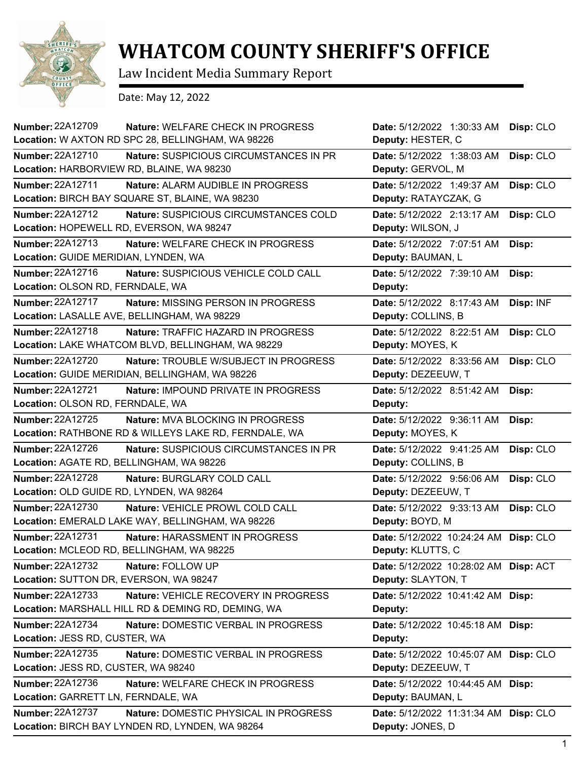

## **WHATCOM COUNTY SHERIFF'S OFFICE**

Law Incident Media Summary Report

Date: May 12, 2022

| Number: 22A12709<br>Nature: WELFARE CHECK IN PROGRESS<br>Location: W AXTON RD SPC 28, BELLINGHAM, WA 98226           | Date: 5/12/2022 1:30:33 AM<br>Deputy: HESTER, C             | Disp: CLO |
|----------------------------------------------------------------------------------------------------------------------|-------------------------------------------------------------|-----------|
| <b>Number: 22A12710</b><br>Nature: SUSPICIOUS CIRCUMSTANCES IN PR                                                    | Date: 5/12/2022 1:38:03 AM                                  | Disp: CLO |
| Location: HARBORVIEW RD, BLAINE, WA 98230                                                                            | Deputy: GERVOL, M                                           |           |
| <b>Number: 22A12711</b><br>Nature: ALARM AUDIBLE IN PROGRESS<br>Location: BIRCH BAY SQUARE ST, BLAINE, WA 98230      | Date: 5/12/2022 1:49:37 AM<br>Deputy: RATAYCZAK, G          | Disp: CLO |
| <b>Number: 22A12712</b><br>Nature: SUSPICIOUS CIRCUMSTANCES COLD<br>Location: HOPEWELL RD, EVERSON, WA 98247         | Date: 5/12/2022 2:13:17 AM<br>Deputy: WILSON, J             | Disp: CLO |
| Number: 22A12713<br>Nature: WELFARE CHECK IN PROGRESS<br>Location: GUIDE MERIDIAN, LYNDEN, WA                        | Date: 5/12/2022 7:07:51 AM<br>Deputy: BAUMAN, L             | Disp:     |
| Number: 22A12716<br>Nature: SUSPICIOUS VEHICLE COLD CALL<br>Location: OLSON RD, FERNDALE, WA                         | Date: 5/12/2022 7:39:10 AM<br>Deputy:                       | Disp:     |
| Number: 22A12717<br><b>Nature: MISSING PERSON IN PROGRESS</b><br>Location: LASALLE AVE, BELLINGHAM, WA 98229         | Date: 5/12/2022 8:17:43 AM<br>Deputy: COLLINS, B            | Disp: INF |
| Number: 22A12718<br>Nature: TRAFFIC HAZARD IN PROGRESS<br>Location: LAKE WHATCOM BLVD, BELLINGHAM, WA 98229          | Date: 5/12/2022 8:22:51 AM<br>Deputy: MOYES, K              | Disp: CLO |
| <b>Number: 22A12720</b><br>Nature: TROUBLE W/SUBJECT IN PROGRESS<br>Location: GUIDE MERIDIAN, BELLINGHAM, WA 98226   | Date: 5/12/2022 8:33:56 AM<br>Deputy: DEZEEUW, T            | Disp: CLO |
| <b>Number: 22A12721</b><br>Nature: IMPOUND PRIVATE IN PROGRESS<br>Location: OLSON RD, FERNDALE, WA                   | Date: 5/12/2022 8:51:42 AM<br>Deputy:                       | Disp:     |
| <b>Number: 22A12725</b><br>Nature: MVA BLOCKING IN PROGRESS<br>Location: RATHBONE RD & WILLEYS LAKE RD, FERNDALE, WA | Date: 5/12/2022 9:36:11 AM<br>Deputy: MOYES, K              | Disp:     |
| <b>Number: 22A12726</b><br>Nature: SUSPICIOUS CIRCUMSTANCES IN PR<br>Location: AGATE RD, BELLINGHAM, WA 98226        | Date: 5/12/2022 9:41:25 AM<br>Deputy: COLLINS, B            | Disp: CLO |
| Number: 22A12728<br>Nature: BURGLARY COLD CALL<br>Location: OLD GUIDE RD, LYNDEN, WA 98264                           | Date: 5/12/2022 9:56:06 AM<br>Deputy: DEZEEUW, T            | Disp: CLO |
| Number: 22A12730<br>Nature: VEHICLE PROWL COLD CALL<br>Location: EMERALD LAKE WAY, BELLINGHAM, WA 98226              | Date: 5/12/2022 9:33:13 AM<br>Deputy: BOYD, M               | Disp: CLO |
| <b>Number: 22A12731</b><br>Nature: HARASSMENT IN PROGRESS<br>Location: MCLEOD RD, BELLINGHAM, WA 98225               | Date: 5/12/2022 10:24:24 AM Disp: CLO<br>Deputy: KLUTTS, C  |           |
| Number: 22A12732<br>Nature: FOLLOW UP<br>Location: SUTTON DR, EVERSON, WA 98247                                      | Date: 5/12/2022 10:28:02 AM Disp: ACT<br>Deputy: SLAYTON, T |           |
| Number: 22A12733<br>Nature: VEHICLE RECOVERY IN PROGRESS<br>Location: MARSHALL HILL RD & DEMING RD, DEMING, WA       | Date: 5/12/2022 10:41:42 AM Disp:<br>Deputy:                |           |
| Number: 22A12734<br>Nature: DOMESTIC VERBAL IN PROGRESS<br>Location: JESS RD, CUSTER, WA                             | Date: 5/12/2022 10:45:18 AM Disp:<br>Deputy:                |           |
| Number: 22A12735<br><b>Nature: DOMESTIC VERBAL IN PROGRESS</b><br>Location: JESS RD, CUSTER, WA 98240                | Date: 5/12/2022 10:45:07 AM Disp: CLO<br>Deputy: DEZEEUW, T |           |
| Number: 22A12736<br>Nature: WELFARE CHECK IN PROGRESS<br>Location: GARRETT LN, FERNDALE, WA                          | Date: 5/12/2022 10:44:45 AM Disp:<br>Deputy: BAUMAN, L      |           |
| <b>Number: 22A12737</b><br>Nature: DOMESTIC PHYSICAL IN PROGRESS<br>Location: BIRCH BAY LYNDEN RD, LYNDEN, WA 98264  | Date: 5/12/2022 11:31:34 AM Disp: CLO<br>Deputy: JONES, D   |           |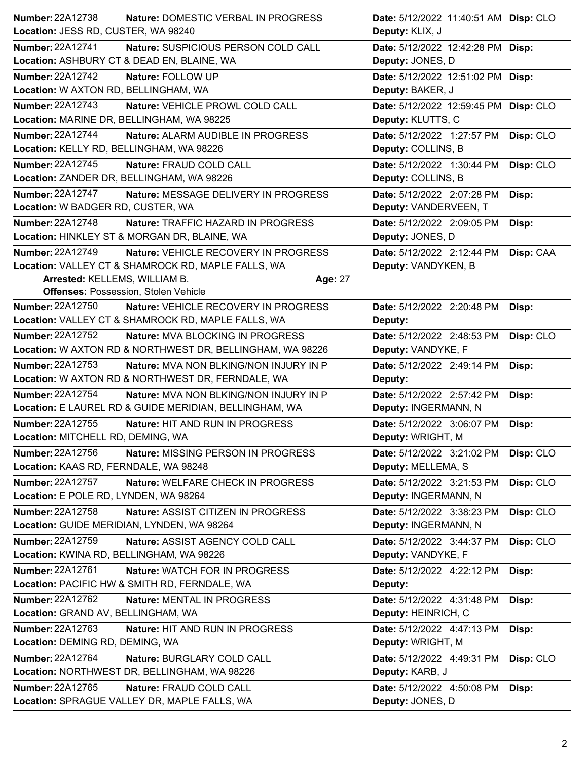|                                            | Nature: DOMESTIC VERBAL IN PROGRESS                       |         | Date: 5/12/2022 11:40:51 AM Disp: CLO |           |
|--------------------------------------------|-----------------------------------------------------------|---------|---------------------------------------|-----------|
| Location: JESS RD, CUSTER, WA 98240        |                                                           |         | Deputy: KLIX, J                       |           |
| <b>Number: 22A12741</b>                    | Nature: SUSPICIOUS PERSON COLD CALL                       |         | Date: 5/12/2022 12:42:28 PM           | Disp:     |
|                                            | Location: ASHBURY CT & DEAD EN, BLAINE, WA                |         | Deputy: JONES, D                      |           |
| <b>Number: 22A12742</b>                    | Nature: FOLLOW UP                                         |         | Date: 5/12/2022 12:51:02 PM Disp:     |           |
| Location: W AXTON RD, BELLINGHAM, WA       |                                                           |         | Deputy: BAKER, J                      |           |
| <b>Number: 22A12743</b>                    | Nature: VEHICLE PROWL COLD CALL                           |         | Date: 5/12/2022 12:59:45 PM           | Disp: CLO |
| Location: MARINE DR, BELLINGHAM, WA 98225  |                                                           |         | Deputy: KLUTTS, C                     |           |
| <b>Number: 22A12744</b>                    | Nature: ALARM AUDIBLE IN PROGRESS                         |         | Date: 5/12/2022 1:27:57 PM            | Disp: CLO |
| Location: KELLY RD, BELLINGHAM, WA 98226   |                                                           |         | Deputy: COLLINS, B                    |           |
| Number: 22A12745                           | Nature: FRAUD COLD CALL                                   |         | Date: 5/12/2022 1:30:44 PM            | Disp: CLO |
| Location: ZANDER DR, BELLINGHAM, WA 98226  |                                                           |         | Deputy: COLLINS, B                    |           |
| Number: 22A12747                           | Nature: MESSAGE DELIVERY IN PROGRESS                      |         | Date: 5/12/2022 2:07:28 PM            | Disp:     |
| Location: W BADGER RD, CUSTER, WA          |                                                           |         | Deputy: VANDERVEEN, T                 |           |
| Number: 22A12748                           | Nature: TRAFFIC HAZARD IN PROGRESS                        |         | Date: 5/12/2022 2:09:05 PM            | Disp:     |
|                                            | Location: HINKLEY ST & MORGAN DR, BLAINE, WA              |         | Deputy: JONES, D                      |           |
| <b>Number: 22A12749</b>                    | Nature: VEHICLE RECOVERY IN PROGRESS                      |         | Date: 5/12/2022 2:12:44 PM            | Disp: CAA |
|                                            | Location: VALLEY CT & SHAMROCK RD, MAPLE FALLS, WA        |         | Deputy: VANDYKEN, B                   |           |
| Arrested: KELLEMS, WILLIAM B.              |                                                           | Age: 27 |                                       |           |
|                                            | <b>Offenses: Possession, Stolen Vehicle</b>               |         |                                       |           |
| <b>Number: 22A12750</b>                    | Nature: VEHICLE RECOVERY IN PROGRESS                      |         | Date: 5/12/2022 2:20:48 PM            | Disp:     |
|                                            | Location: VALLEY CT & SHAMROCK RD, MAPLE FALLS, WA        |         | Deputy:                               |           |
| <b>Number: 22A12752</b>                    | Nature: MVA BLOCKING IN PROGRESS                          |         | Date: 5/12/2022 2:48:53 PM            | Disp: CLO |
|                                            | Location: W AXTON RD & NORTHWEST DR, BELLINGHAM, WA 98226 |         | Deputy: VANDYKE, F                    |           |
| <b>Number: 22A12753</b>                    | <b>Nature: MVA NON BLKING/NON INJURY IN P</b>             |         | Date: 5/12/2022 2:49:14 PM            | Disp:     |
|                                            | Location: W AXTON RD & NORTHWEST DR, FERNDALE, WA         |         | Deputy:                               |           |
| Number: 22A12754                           | Nature: MVA NON BLKING/NON INJURY IN P                    |         | Date: 5/12/2022 2:57:42 PM            | Disp:     |
|                                            | Location: E LAUREL RD & GUIDE MERIDIAN, BELLINGHAM, WA    |         | Deputy: INGERMANN, N                  |           |
| Number: 22A12755                           | Nature: HIT AND RUN IN PROGRESS                           |         | Date: 5/12/2022 3:06:07 PM            | Disp:     |
| Location: MITCHELL RD, DEMING, WA          |                                                           |         | Deputy: WRIGHT, M                     |           |
|                                            |                                                           |         |                                       |           |
| Number: 22A12756                           | Nature: MISSING PERSON IN PROGRESS                        |         | Date: 5/12/2022 3:21:02 PM            | Disp: CLO |
| Location: KAAS RD, FERNDALE, WA 98248      |                                                           |         | Deputy: MELLEMA, S                    |           |
| <b>Number: 22A12757</b>                    | Nature: WELFARE CHECK IN PROGRESS                         |         | Date: 5/12/2022 3:21:53 PM            | Disp: CLO |
| Location: E POLE RD, LYNDEN, WA 98264      |                                                           |         | Deputy: INGERMANN, N                  |           |
| Number: 22A12758                           | Nature: ASSIST CITIZEN IN PROGRESS                        |         | Date: 5/12/2022 3:38:23 PM            | Disp: CLO |
| Location: GUIDE MERIDIAN, LYNDEN, WA 98264 |                                                           |         | Deputy: INGERMANN, N                  |           |
| Number: 22A12759                           | Nature: ASSIST AGENCY COLD CALL                           |         | Date: 5/12/2022 3:44:37 PM            | Disp: CLO |
| Location: KWINA RD, BELLINGHAM, WA 98226   |                                                           |         | Deputy: VANDYKE, F                    |           |
| Number: 22A12761                           | Nature: WATCH FOR IN PROGRESS                             |         | Date: 5/12/2022 4:22:12 PM            | Disp:     |
|                                            | Location: PACIFIC HW & SMITH RD, FERNDALE, WA             |         | Deputy:                               |           |
| Number: 22A12762                           | Nature: MENTAL IN PROGRESS                                |         | Date: 5/12/2022 4:31:48 PM            | Disp:     |
| Location: GRAND AV, BELLINGHAM, WA         |                                                           |         | Deputy: HEINRICH, C                   |           |
| Number: 22A12763                           | Nature: HIT AND RUN IN PROGRESS                           |         | Date: 5/12/2022 4:47:13 PM            | Disp:     |
| Location: DEMING RD, DEMING, WA            |                                                           |         | Deputy: WRIGHT, M                     |           |
| Number: 22A12764                           | Nature: BURGLARY COLD CALL                                |         | Date: 5/12/2022 4:49:31 PM            | Disp: CLO |
|                                            | Location: NORTHWEST DR, BELLINGHAM, WA 98226              |         | Deputy: KARB, J                       |           |
| <b>Number: 22A12765</b>                    | Nature: FRAUD COLD CALL                                   |         | Date: 5/12/2022 4:50:08 PM            | Disp:     |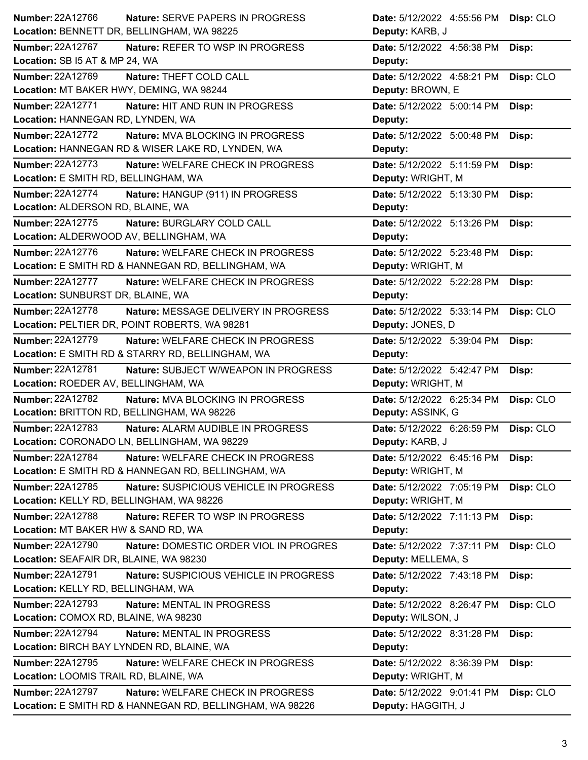| Number: 22A12766                                   | <b>Nature: SERVE PAPERS IN PROGRESS</b>                  | Date: 5/12/2022 4:55:56 PM                       | Disp: CLO |
|----------------------------------------------------|----------------------------------------------------------|--------------------------------------------------|-----------|
| Location: BENNETT DR, BELLINGHAM, WA 98225         |                                                          | Deputy: KARB, J                                  |           |
| <b>Number: 22A12767</b>                            | Nature: REFER TO WSP IN PROGRESS                         | Date: 5/12/2022 4:56:38 PM                       | Disp:     |
| Location: SB I5 AT & MP 24, WA                     |                                                          | Deputy:                                          |           |
| Number: 22A12769                                   | Nature: THEFT COLD CALL                                  | Date: 5/12/2022 4:58:21 PM                       | Disp: CLO |
| Location: MT BAKER HWY, DEMING, WA 98244           |                                                          | Deputy: BROWN, E                                 |           |
| <b>Number: 22A12771</b>                            | Nature: HIT AND RUN IN PROGRESS                          | Date: 5/12/2022 5:00:14 PM                       | Disp:     |
| Location: HANNEGAN RD, LYNDEN, WA                  |                                                          | Deputy:                                          |           |
| <b>Number: 22A12772</b>                            | Nature: MVA BLOCKING IN PROGRESS                         | Date: 5/12/2022 5:00:48 PM                       | Disp:     |
| Location: HANNEGAN RD & WISER LAKE RD, LYNDEN, WA  |                                                          | Deputy:                                          |           |
| Number: 22A12773                                   | Nature: WELFARE CHECK IN PROGRESS                        | Date: 5/12/2022 5:11:59 PM                       | Disp:     |
| Location: E SMITH RD, BELLINGHAM, WA               |                                                          | Deputy: WRIGHT, M                                |           |
| <b>Number: 22A12774</b>                            | Nature: HANGUP (911) IN PROGRESS                         | Date: 5/12/2022 5:13:30 PM                       | Disp:     |
| Location: ALDERSON RD, BLAINE, WA                  |                                                          | Deputy:                                          |           |
| Number: 22A12775                                   | Nature: BURGLARY COLD CALL                               | Date: 5/12/2022 5:13:26 PM                       | Disp:     |
| Location: ALDERWOOD AV, BELLINGHAM, WA             |                                                          | Deputy:                                          |           |
| Number: 22A12776                                   | Nature: WELFARE CHECK IN PROGRESS                        | Date: 5/12/2022 5:23:48 PM                       | Disp:     |
| Location: E SMITH RD & HANNEGAN RD, BELLINGHAM, WA |                                                          | Deputy: WRIGHT, M                                |           |
| <b>Number: 22A12777</b>                            | Nature: WELFARE CHECK IN PROGRESS                        | Date: 5/12/2022 5:22:28 PM                       | Disp:     |
| Location: SUNBURST DR, BLAINE, WA                  |                                                          | Deputy:                                          |           |
| <b>Number: 22A12778</b>                            | Nature: MESSAGE DELIVERY IN PROGRESS                     | Date: 5/12/2022 5:33:14 PM                       | Disp: CLO |
| Location: PELTIER DR, POINT ROBERTS, WA 98281      |                                                          | Deputy: JONES, D                                 |           |
| Number: 22A12779                                   | Nature: WELFARE CHECK IN PROGRESS                        | Date: 5/12/2022 5:39:04 PM                       | Disp:     |
| Location: E SMITH RD & STARRY RD, BELLINGHAM, WA   |                                                          | Deputy:                                          |           |
| <b>Number: 22A12781</b>                            | Nature: SUBJECT W/WEAPON IN PROGRESS                     | Date: 5/12/2022 5:42:47 PM                       | Disp:     |
| Location: ROEDER AV, BELLINGHAM, WA                |                                                          | Deputy: WRIGHT, M                                |           |
| Number: 22A12782                                   | Nature: MVA BLOCKING IN PROGRESS                         | Date: 5/12/2022 6:25:34 PM                       | Disp: CLO |
| Location: BRITTON RD, BELLINGHAM, WA 98226         |                                                          | Deputy: ASSINK, G                                |           |
| <b>Number: 22A12783</b>                            | Nature: ALARM AUDIBLE IN PROGRESS                        | Date: 5/12/2022 6:26:59 PM                       | Disp: CLO |
| Location: CORONADO LN, BELLINGHAM, WA 98229        |                                                          | Deputy: KARB, J                                  |           |
| <b>Number: 22A12784</b>                            | Nature: WELFARE CHECK IN PROGRESS                        | Date: 5/12/2022 6:45:16 PM                       | Disp:     |
| Location: E SMITH RD & HANNEGAN RD, BELLINGHAM, WA |                                                          | Deputy: WRIGHT, M                                |           |
| Number: 22A12785                                   | Nature: SUSPICIOUS VEHICLE IN PROGRESS                   | Date: 5/12/2022 7:05:19 PM                       | Disp: CLO |
| Location: KELLY RD, BELLINGHAM, WA 98226           |                                                          | Deputy: WRIGHT, M                                |           |
| Number: 22A12788                                   | Nature: REFER TO WSP IN PROGRESS                         | Date: 5/12/2022 7:11:13 PM                       | Disp:     |
| Location: MT BAKER HW & SAND RD, WA                |                                                          | Deputy:                                          |           |
| <b>Number: 22A12790</b>                            | Nature: DOMESTIC ORDER VIOL IN PROGRES                   | Date: 5/12/2022 7:37:11 PM                       | Disp: CLO |
| Location: SEAFAIR DR, BLAINE, WA 98230             |                                                          | Deputy: MELLEMA, S                               |           |
| <b>Number: 22A12791</b>                            | Nature: SUSPICIOUS VEHICLE IN PROGRESS                   | Date: 5/12/2022 7:43:18 PM                       | Disp:     |
| Location: KELLY RD, BELLINGHAM, WA                 |                                                          | Deputy:                                          |           |
| <b>Number: 22A12793</b>                            | Nature: MENTAL IN PROGRESS                               | Date: 5/12/2022 8:26:47 PM                       | Disp: CLO |
| Location: COMOX RD, BLAINE, WA 98230               |                                                          | Deputy: WILSON, J                                |           |
| Number: 22A12794                                   | Nature: MENTAL IN PROGRESS                               | Date: 5/12/2022 8:31:28 PM                       | Disp:     |
| Location: BIRCH BAY LYNDEN RD, BLAINE, WA          |                                                          | Deputy:                                          |           |
| <b>Number: 22A12795</b>                            | Nature: WELFARE CHECK IN PROGRESS                        | Date: 5/12/2022 8:36:39 PM                       |           |
| Location: LOOMIS TRAIL RD, BLAINE, WA              |                                                          | Deputy: WRIGHT, M                                | Disp:     |
| <b>Number: 22A12797</b>                            | Nature: WELFARE CHECK IN PROGRESS                        |                                                  |           |
|                                                    | Location: E SMITH RD & HANNEGAN RD, BELLINGHAM, WA 98226 | Date: 5/12/2022 9:01:41 PM<br>Deputy: HAGGITH, J | Disp: CLO |
|                                                    |                                                          |                                                  |           |